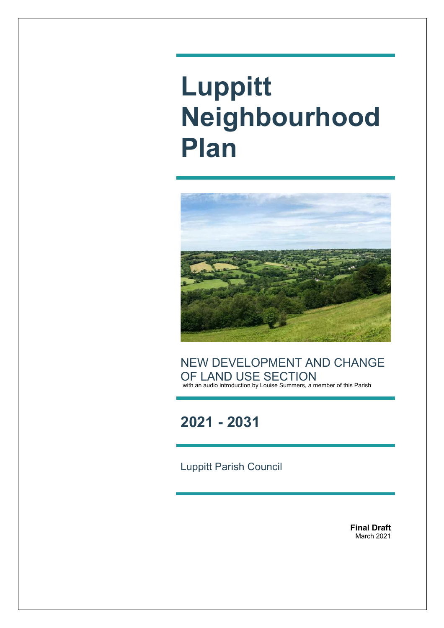# **Luppitt Neighbourhood Plan**



NEW DEVELOPMENT AND CHANGE OF LAND USE SECTION with an audio introduction by Louise Summers, a member of this Parish

**2021 - 2031**

Luppitt Parish Council

**Final Draft** March 2021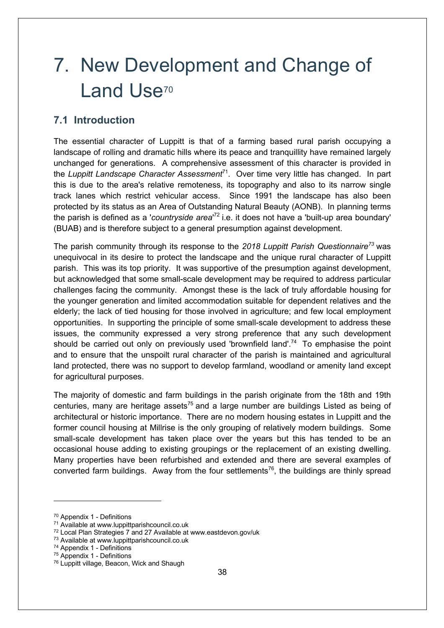## 7. New Development and Change of Land Use<sup>70</sup>

## **7.1 Introduction**

The essential character of Luppitt is that of a farming based rural parish occupying a landscape of rolling and dramatic hills where its peace and tranquillity have remained largely unchanged for generations. A comprehensive assessment of this character is provided in the *Luppitt Landscape Character Assessment*71. Over time very little has changed. In part this is due to the area's relative remoteness, its topography and also to its narrow single track lanes which restrict vehicular access. Since 1991 the landscape has also been protected by its status as an Area of Outstanding Natural Beauty (AONB). In planning terms the parish is defined as a '*countryside area*' <sup>72</sup> i.e. it does not have a 'built-up area boundary' (BUAB) and is therefore subject to a general presumption against development.

The parish community through its response to the *2018 Luppitt Parish Questionnaire73* was unequivocal in its desire to protect the landscape and the unique rural character of Luppitt parish. This was its top priority. It was supportive of the presumption against development, but acknowledged that some small-scale development may be required to address particular challenges facing the community. Amongst these is the lack of truly affordable housing for the younger generation and limited accommodation suitable for dependent relatives and the elderly; the lack of tied housing for those involved in agriculture; and few local employment opportunities. In supporting the principle of some small-scale development to address these issues, the community expressed a very strong preference that any such development should be carried out only on previously used 'brownfield land'.<sup>74</sup> To emphasise the point and to ensure that the unspoilt rural character of the parish is maintained and agricultural land protected, there was no support to develop farmland, woodland or amenity land except for agricultural purposes.

The majority of domestic and farm buildings in the parish originate from the 18th and 19th centuries, many are heritage assets<sup>75</sup> and a large number are buildings Listed as being of architectural or historic importance. There are no modern housing estates in Luppitt and the former council housing at Millrise is the only grouping of relatively modern buildings. Some small-scale development has taken place over the years but this has tended to be an occasional house adding to existing groupings or the replacement of an existing dwelling. Many properties have been refurbished and extended and there are several examples of converted farm buildings. Away from the four settlements<sup>76</sup>, the buildings are thinly spread

<sup>70</sup> Appendix 1 - Definitions

<sup>71</sup> Available at www.luppittparishcouncil.co.uk

<sup>72</sup> Local Plan Strategies 7 and 27 Available at www.eastdevon.gov/uk

<sup>73</sup> Available at www.luppittparishcouncil.co.uk

<sup>74</sup> Appendix 1 - Definitions

<sup>75</sup> Appendix 1 - Definitions

<sup>&</sup>lt;sup>76</sup> Luppitt village, Beacon, Wick and Shaugh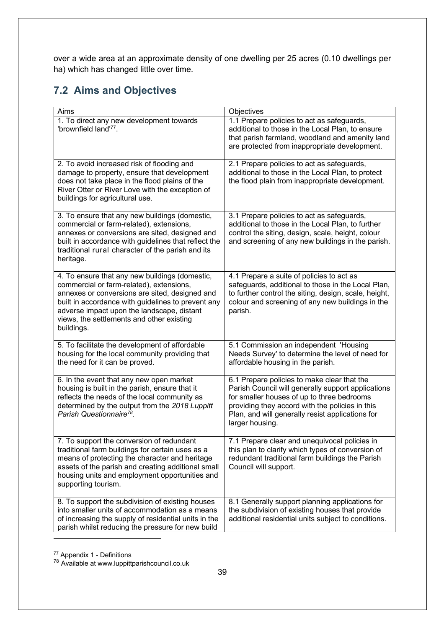over a wide area at an approximate density of one dwelling per 25 acres (0.10 dwellings per ha) which has changed little over time.

## **7.2 Aims and Objectives**

| Aims                                                                                                                                                                                                                                                                                                        | Objectives                                                                                                                                                                                                                                                                |
|-------------------------------------------------------------------------------------------------------------------------------------------------------------------------------------------------------------------------------------------------------------------------------------------------------------|---------------------------------------------------------------------------------------------------------------------------------------------------------------------------------------------------------------------------------------------------------------------------|
| 1. To direct any new development towards<br>'brownfield land'77.                                                                                                                                                                                                                                            | 1.1 Prepare policies to act as safeguards,<br>additional to those in the Local Plan, to ensure<br>that parish farmland, woodland and amenity land<br>are protected from inappropriate development.                                                                        |
| 2. To avoid increased risk of flooding and<br>damage to property, ensure that development<br>does not take place in the flood plains of the<br>River Otter or River Love with the exception of<br>buildings for agricultural use.                                                                           | 2.1 Prepare policies to act as safeguards,<br>additional to those in the Local Plan, to protect<br>the flood plain from inappropriate development.                                                                                                                        |
| 3. To ensure that any new buildings (domestic,<br>commercial or farm-related), extensions,<br>annexes or conversions are sited, designed and<br>built in accordance with guidelines that reflect the<br>traditional rural character of the parish and its<br>heritage.                                      | 3.1 Prepare policies to act as safeguards,<br>additional to those in the Local Plan, to further<br>control the siting, design, scale, height, colour<br>and screening of any new buildings in the parish.                                                                 |
| 4. To ensure that any new buildings (domestic,<br>commercial or farm-related), extensions,<br>annexes or conversions are sited, designed and<br>built in accordance with guidelines to prevent any<br>adverse impact upon the landscape, distant<br>views, the settlements and other existing<br>buildings. | 4.1 Prepare a suite of policies to act as<br>safeguards, additional to those in the Local Plan,<br>to further control the siting, design, scale, height,<br>colour and screening of any new buildings in the<br>parish.                                                   |
| 5. To facilitate the development of affordable<br>housing for the local community providing that<br>the need for it can be proved.                                                                                                                                                                          | 5.1 Commission an independent 'Housing<br>Needs Survey' to determine the level of need for<br>affordable housing in the parish.                                                                                                                                           |
| 6. In the event that any new open market<br>housing is built in the parish, ensure that it<br>reflects the needs of the local community as<br>determined by the output from the 2018 Luppitt<br>Parish Questionnaire <sup>78</sup> .                                                                        | 6.1 Prepare policies to make clear that the<br>Parish Council will generally support applications<br>for smaller houses of up to three bedrooms<br>providing they accord with the policies in this<br>Plan, and will generally resist applications for<br>larger housing. |
| 7. To support the conversion of redundant<br>traditional farm buildings for certain uses as a<br>means of protecting the character and heritage<br>assets of the parish and creating additional small<br>housing units and employment opportunities and<br>supporting tourism.                              | 7.1 Prepare clear and unequivocal policies in<br>this plan to clarify which types of conversion of<br>redundant traditional farm buildings the Parish<br>Council will support.                                                                                            |
| 8. To support the subdivision of existing houses<br>into smaller units of accommodation as a means<br>of increasing the supply of residential units in the<br>parish whilst reducing the pressure for new build                                                                                             | 8.1 Generally support planning applications for<br>the subdivision of existing houses that provide<br>additional residential units subject to conditions.                                                                                                                 |

<sup>77</sup> Appendix 1 - Definitions

<sup>&</sup>lt;sup>78</sup> Available at www.luppittparishcouncil.co.uk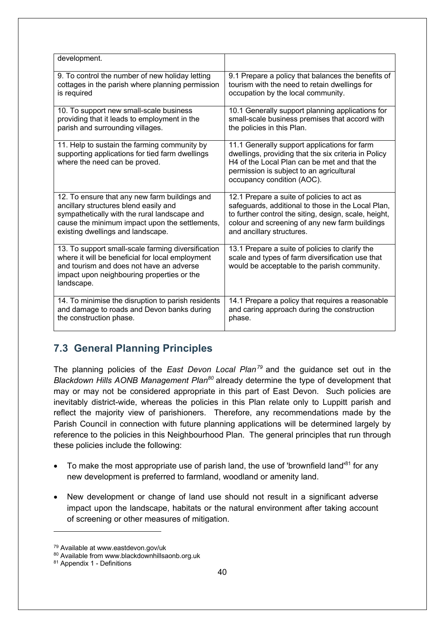| development.                                                                                                                                                                                                   |                                                                                                                                                                                                                                            |
|----------------------------------------------------------------------------------------------------------------------------------------------------------------------------------------------------------------|--------------------------------------------------------------------------------------------------------------------------------------------------------------------------------------------------------------------------------------------|
| 9. To control the number of new holiday letting                                                                                                                                                                | 9.1 Prepare a policy that balances the benefits of                                                                                                                                                                                         |
| cottages in the parish where planning permission                                                                                                                                                               | tourism with the need to retain dwellings for                                                                                                                                                                                              |
| is required                                                                                                                                                                                                    | occupation by the local community.                                                                                                                                                                                                         |
| 10. To support new small-scale business                                                                                                                                                                        | 10.1 Generally support planning applications for                                                                                                                                                                                           |
| providing that it leads to employment in the                                                                                                                                                                   | small-scale business premises that accord with                                                                                                                                                                                             |
| parish and surrounding villages.                                                                                                                                                                               | the policies in this Plan.                                                                                                                                                                                                                 |
| 11. Help to sustain the farming community by<br>supporting applications for tied farm dwellings<br>where the need can be proved.                                                                               | 11.1 Generally support applications for farm<br>dwellings, providing that the six criteria in Policy<br>H <sub>4</sub> of the Local Plan can be met and that the<br>permission is subject to an agricultural<br>occupancy condition (AOC). |
| 12. To ensure that any new farm buildings and                                                                                                                                                                  | 12.1 Prepare a suite of policies to act as                                                                                                                                                                                                 |
| ancillary structures blend easily and                                                                                                                                                                          | safeguards, additional to those in the Local Plan,                                                                                                                                                                                         |
| sympathetically with the rural landscape and                                                                                                                                                                   | to further control the siting, design, scale, height,                                                                                                                                                                                      |
| cause the minimum impact upon the settlements,                                                                                                                                                                 | colour and screening of any new farm buildings                                                                                                                                                                                             |
| existing dwellings and landscape.                                                                                                                                                                              | and ancillary structures.                                                                                                                                                                                                                  |
| 13. To support small-scale farming diversification<br>where it will be beneficial for local employment<br>and tourism and does not have an adverse<br>impact upon neighbouring properties or the<br>landscape. | 13.1 Prepare a suite of policies to clarify the<br>scale and types of farm diversification use that<br>would be acceptable to the parish community.                                                                                        |
| 14. To minimise the disruption to parish residents                                                                                                                                                             | 14.1 Prepare a policy that requires a reasonable                                                                                                                                                                                           |
| and damage to roads and Devon banks during                                                                                                                                                                     | and caring approach during the construction                                                                                                                                                                                                |
| the construction phase.                                                                                                                                                                                        | phase.                                                                                                                                                                                                                                     |

## **7.3 General Planning Principles**

The planning policies of the *East Devon Local Plan<sup>79</sup>* and the guidance set out in the *Blackdown Hills AONB Management Plan80* already determine the type of development that may or may not be considered appropriate in this part of East Devon. Such policies are inevitably district-wide, whereas the policies in this Plan relate only to Luppitt parish and reflect the majority view of parishioners. Therefore, any recommendations made by the Parish Council in connection with future planning applications will be determined largely by reference to the policies in this Neighbourhood Plan. The general principles that run through these policies include the following:

- $\bullet$  To make the most appropriate use of parish land, the use of 'brownfield land'<sup>81</sup> for any new development is preferred to farmland, woodland or amenity land.
- New development or change of land use should not result in a significant adverse impact upon the landscape, habitats or the natural environment after taking account of screening or other measures of mitigation.

<sup>79</sup> Available at www.eastdevon.gov/uk

<sup>80</sup> Available from www.blackdownhillsaonb.org.uk

<sup>81</sup> Appendix 1 - Definitions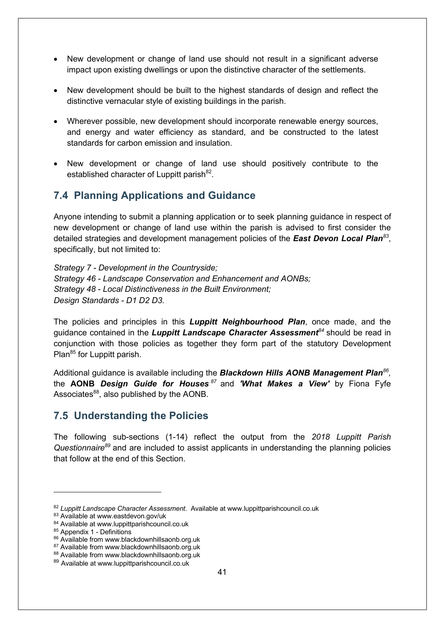- New development or change of land use should not result in a significant adverse impact upon existing dwellings or upon the distinctive character of the settlements.
- New development should be built to the highest standards of design and reflect the distinctive vernacular style of existing buildings in the parish.
- Wherever possible, new development should incorporate renewable energy sources, and energy and water efficiency as standard, and be constructed to the latest standards for carbon emission and insulation.
- New development or change of land use should positively contribute to the established character of Luppitt parish<sup>82</sup>.

### **7.4 Planning Applications and Guidance**

Anyone intending to submit a planning application or to seek planning guidance in respect of new development or change of land use within the parish is advised to first consider the detailed strategies and development management policies of the *East Devon Local Plan<sup>83</sup>*, specifically, but not limited to:

*Strategy 7 - Development in the Countryside; Strategy 46 - Landscape Conservation and Enhancement and AONBs; Strategy 48 - Local Distinctiveness in the Built Environment; Design Standards - D1 D2 D3.*

The policies and principles in this *Luppitt Neighbourhood Plan*, once made, and the guidance contained in the *Luppitt Landscape Character Assessment<sup>84</sup>* should be read in conjunction with those policies as together they form part of the statutory Development Plan<sup>85</sup> for Luppitt parish.

Additional guidance is available including the *Blackdown Hills AONB Management Plan86,* the **AONB** *Design Guide for Houses <sup>87</sup>* and *'What Makes a View'* by Fiona Fyfe Associates $^{88}$ , also published by the AONB.

#### **7.5 Understanding the Policies**

The following sub-sections (1-14) reflect the output from the *2018 Luppitt Parish Questionnaire89* and are included to assist applicants in understanding the planning policies that follow at the end of this Section.

<sup>82</sup> *Luppitt Landscape Character Assessment*. Available at www.luppittparishcouncil.co.uk

<sup>83</sup> Available at www.eastdevon.gov/uk

<sup>84</sup> Available at www.luppittparishcouncil.co.uk

<sup>85</sup> Appendix 1 - Definitions

<sup>86</sup> Available from www.blackdownhillsaonb.org.uk

<sup>87</sup> Available from www.blackdownhillsaonb.org.uk

<sup>88</sup> Available from www.blackdownhillsaonb.org.uk

<sup>89</sup> Available at www.luppittparishcouncil.co.uk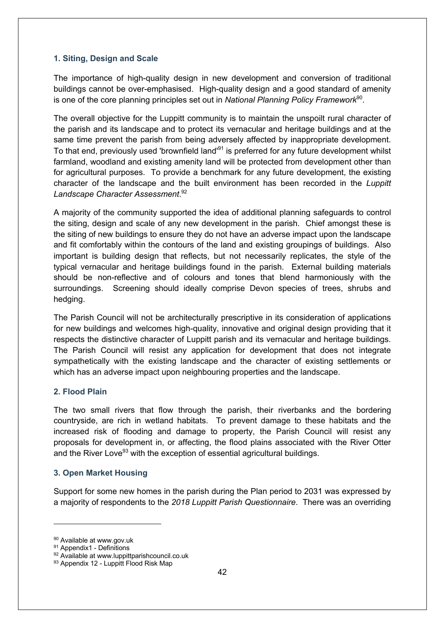#### **1. Siting, Design and Scale**

The importance of high-quality design in new development and conversion of traditional buildings cannot be over-emphasised. High-quality design and a good standard of amenity is one of the core planning principles set out in *National Planning Policy Framework*90.

The overall objective for the Luppitt community is to maintain the unspoilt rural character of the parish and its landscape and to protect its vernacular and heritage buildings and at the same time prevent the parish from being adversely affected by inappropriate development. To that end, previously used 'brownfield land'<sup>91</sup> is preferred for any future development whilst farmland, woodland and existing amenity land will be protected from development other than for agricultural purposes. To provide a benchmark for any future development, the existing character of the landscape and the built environment has been recorded in the *Luppitt Landscape Character Assessment*. 92

A majority of the community supported the idea of additional planning safeguards to control the siting, design and scale of any new development in the parish. Chief amongst these is the siting of new buildings to ensure they do not have an adverse impact upon the landscape and fit comfortably within the contours of the land and existing groupings of buildings. Also important is building design that reflects, but not necessarily replicates, the style of the typical vernacular and heritage buildings found in the parish. External building materials should be non-reflective and of colours and tones that blend harmoniously with the surroundings. Screening should ideally comprise Devon species of trees, shrubs and hedging.

The Parish Council will not be architecturally prescriptive in its consideration of applications for new buildings and welcomes high-quality, innovative and original design providing that it respects the distinctive character of Luppitt parish and its vernacular and heritage buildings. The Parish Council will resist any application for development that does not integrate sympathetically with the existing landscape and the character of existing settlements or which has an adverse impact upon neighbouring properties and the landscape.

#### **2. Flood Plain**

The two small rivers that flow through the parish, their riverbanks and the bordering countryside, are rich in wetland habitats. To prevent damage to these habitats and the increased risk of flooding and damage to property, the Parish Council will resist any proposals for development in, or affecting, the flood plains associated with the River Otter and the River Love $93$  with the exception of essential agricultural buildings.

#### **3. Open Market Housing**

Support for some new homes in the parish during the Plan period to 2031 was expressed by a majority of respondents to the *2018 Luppitt Parish Questionnaire*. There was an overriding

<sup>90</sup> Available at www.gov.uk

<sup>91</sup> Appendix1 - Definitions

<sup>92</sup> Available at www.luppittparishcouncil.co.uk

<sup>93</sup> Appendix 12 - Luppitt Flood Risk Map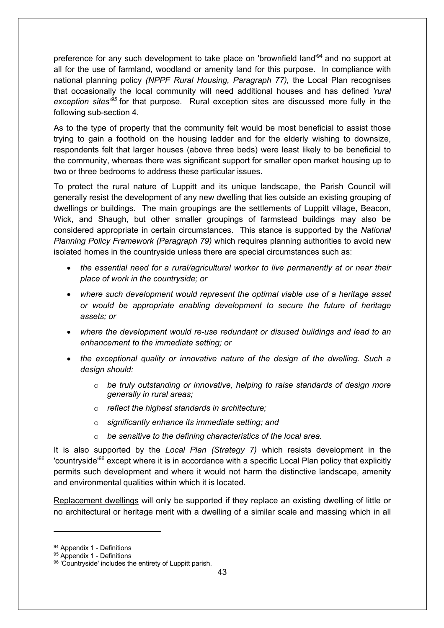preference for any such development to take place on 'brownfield land'<sup>94</sup> and no support at all for the use of farmland, woodland or amenity land for this purpose. In compliance with national planning policy *(NPPF Rural Housing, Paragraph 77),* the Local Plan recognises that occasionally the local community will need additional houses and has defined *'rural exception sites'95* for that purpose. Rural exception sites are discussed more fully in the following sub-section 4.

As to the type of property that the community felt would be most beneficial to assist those trying to gain a foothold on the housing ladder and for the elderly wishing to downsize, respondents felt that larger houses (above three beds) were least likely to be beneficial to the community, whereas there was significant support for smaller open market housing up to two or three bedrooms to address these particular issues.

To protect the rural nature of Luppitt and its unique landscape, the Parish Council will generally resist the development of any new dwelling that lies outside an existing grouping of dwellings or buildings. The main groupings are the settlements of Luppitt village, Beacon, Wick, and Shaugh, but other smaller groupings of farmstead buildings may also be considered appropriate in certain circumstances. This stance is supported by the *National Planning Policy Framework (Paragraph 79)* which requires planning authorities to avoid new isolated homes in the countryside unless there are special circumstances such as:

- *the essential need for a rural/agricultural worker to live permanently at or near their place of work in the countryside; or*
- *where such development would represent the optimal viable use of a heritage asset or would be appropriate enabling development to secure the future of heritage assets; or*
- *where the development would re-use redundant or disused buildings and lead to an enhancement to the immediate setting; or*
- *the exceptional quality or innovative nature of the design of the dwelling. Such a design should:*
	- o *be truly outstanding or innovative, helping to raise standards of design more generally in rural areas;*
	- o *reflect the highest standards in architecture;*
	- o *significantly enhance its immediate setting; and*
	- o *be sensitive to the defining characteristics of the local area.*

It is also supported by the *Local Plan (Strategy 7)* which resists development in the 'countryside'<sup>96</sup> except where it is in accordance with a specific Local Plan policy that explicitly permits such development and where it would not harm the distinctive landscape, amenity and environmental qualities within which it is located.

Replacement dwellings will only be supported if they replace an existing dwelling of little or no architectural or heritage merit with a dwelling of a similar scale and massing which in all

<sup>94</sup> Appendix 1 - Definitions

<sup>95</sup> Appendix 1 - Definitions

<sup>96 &#</sup>x27;Countryside' includes the entirety of Luppitt parish.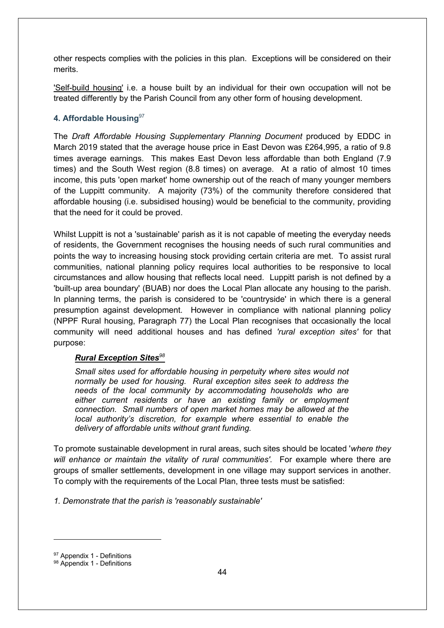other respects complies with the policies in this plan. Exceptions will be considered on their merits.

'Self-build housing' i.e. a house built by an individual for their own occupation will not be treated differently by the Parish Council from any other form of housing development.

#### **4. Affordable Housing**<sup>97</sup>

The *Draft Affordable Housing Supplementary Planning Document* produced by EDDC in March 2019 stated that the average house price in East Devon was £264,995, a ratio of 9.8 times average earnings. This makes East Devon less affordable than both England (7.9 times) and the South West region (8.8 times) on average. At a ratio of almost 10 times income, this puts 'open market' home ownership out of the reach of many younger members of the Luppitt community. A majority (73%) of the community therefore considered that affordable housing (i.e. subsidised housing) would be beneficial to the community, providing that the need for it could be proved.

Whilst Luppitt is not a 'sustainable' parish as it is not capable of meeting the everyday needs of residents, the Government recognises the housing needs of such rural communities and points the way to increasing housing stock providing certain criteria are met. To assist rural communities, national planning policy requires local authorities to be responsive to local circumstances and allow housing that reflects local need. Luppitt parish is not defined by a 'built-up area boundary' (BUAB) nor does the Local Plan allocate any housing to the parish. In planning terms, the parish is considered to be 'countryside' in which there is a general presumption against development. However in compliance with national planning policy (NPPF Rural housing, Paragraph 77) the Local Plan recognises that occasionally the local community will need additional houses and has defined *'rural exception sites'* for that purpose:

#### *Rural Exception Sites<sup>98</sup>*

*Small sites used for affordable housing in perpetuity where sites would not normally be used for housing. Rural exception sites seek to address the needs of the local community by accommodating households who are either current residents or have an existing family or employment connection. Small numbers of open market homes may be allowed at the local authority's discretion, for example where essential to enable the delivery of affordable units without grant funding.*

To promote sustainable development in rural areas, such sites should be located '*where they will enhance or maintain the vitality of rural communities'*. For example where there are groups of smaller settlements, development in one village may support services in another. To comply with the requirements of the Local Plan, three tests must be satisfied:

*1. Demonstrate that the parish is 'reasonably sustainable'*

<sup>97</sup> Appendix 1 - Definitions

<sup>98</sup> Appendix 1 - Definitions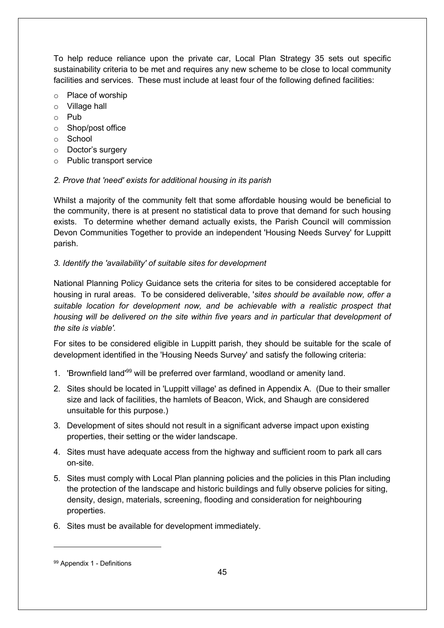To help reduce reliance upon the private car, Local Plan Strategy 35 sets out specific sustainability criteria to be met and requires any new scheme to be close to local community facilities and services. These must include at least four of the following defined facilities:

- o Place of worship
- o Village hall
- o Pub
- o Shop/post office
- o School
- o Doctor's surgery
- o Public transport service

#### *2. Prove that 'need' exists for additional housing in its parish*

Whilst a majority of the community felt that some affordable housing would be beneficial to the community, there is at present no statistical data to prove that demand for such housing exists. To determine whether demand actually exists, the Parish Council will commission Devon Communities Together to provide an independent 'Housing Needs Survey' for Luppitt parish.

#### *3. Identify the 'availability' of suitable sites for development*

National Planning Policy Guidance sets the criteria for sites to be considered acceptable for housing in rural areas. To be considered deliverable, '*sites should be available now, offer a suitable location for development now, and be achievable with a realistic prospect that housing will be delivered on the site within five years and in particular that development of the site is viable'.* 

For sites to be considered eligible in Luppitt parish, they should be suitable for the scale of development identified in the 'Housing Needs Survey' and satisfy the following criteria:

- 1. 'Brownfield land'<sup>99</sup> will be preferred over farmland, woodland or amenity land.
- 2. Sites should be located in 'Luppitt village' as defined in Appendix A. (Due to their smaller size and lack of facilities, the hamlets of Beacon, Wick, and Shaugh are considered unsuitable for this purpose.)
- 3. Development of sites should not result in a significant adverse impact upon existing properties, their setting or the wider landscape.
- 4. Sites must have adequate access from the highway and sufficient room to park all cars on-site.
- 5. Sites must comply with Local Plan planning policies and the policies in this Plan including the protection of the landscape and historic buildings and fully observe policies for siting, density, design, materials, screening, flooding and consideration for neighbouring properties.
- 6. Sites must be available for development immediately.

<sup>99</sup> Appendix 1 - Definitions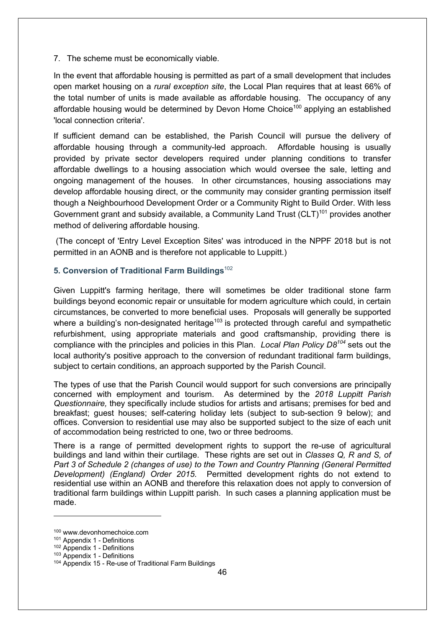7. The scheme must be economically viable.

In the event that affordable housing is permitted as part of a small development that includes open market housing on a *rural exception site*, the Local Plan requires that at least 66% of the total number of units is made available as affordable housing. The occupancy of any affordable housing would be determined by Devon Home Choice<sup>100</sup> applying an established 'local connection criteria'.

If sufficient demand can be established, the Parish Council will pursue the delivery of affordable housing through a community-led approach. Affordable housing is usually provided by private sector developers required under planning conditions to transfer affordable dwellings to a housing association which would oversee the sale, letting and ongoing management of the houses. In other circumstances, housing associations may develop affordable housing direct, or the community may consider granting permission itself though a Neighbourhood Development Order or a Community Right to Build Order. With less Government grant and subsidy available, a Community Land Trust  $(CLT)^{101}$  provides another method of delivering affordable housing.

(The concept of 'Entry Level Exception Sites' was introduced in the NPPF 2018 but is not permitted in an AONB and is therefore not applicable to Luppitt.)

#### **5. Conversion of Traditional Farm Buildings**<sup>102</sup>

Given Luppitt's farming heritage, there will sometimes be older traditional stone farm buildings beyond economic repair or unsuitable for modern agriculture which could, in certain circumstances, be converted to more beneficial uses. Proposals will generally be supported where a building's non-designated heritage<sup>103</sup> is protected through careful and sympathetic refurbishment, using appropriate materials and good craftsmanship, providing there is compliance with the principles and policies in this Plan. *Local Plan Policy D8104* sets out the local authority's positive approach to the conversion of redundant traditional farm buildings, subject to certain conditions, an approach supported by the Parish Council.

The types of use that the Parish Council would support for such conversions are principally concerned with employment and tourism. As determined by the *2018 Luppitt Parish Questionnaire,* they specifically include studios for artists and artisans; premises for bed and breakfast; guest houses; self-catering holiday lets (subject to sub-section 9 below); and offices. Conversion to residential use may also be supported subject to the size of each unit of accommodation being restricted to one, two or three bedrooms.

There is a range of permitted development rights to support the re-use of agricultural buildings and land within their curtilage. These rights are set out in *Classes Q, R and S, of Part 3 of Schedule 2 (changes of use) to the Town and Country Planning (General Permitted Development) (England) Order 2015*. Permitted development rights do not extend to residential use within an AONB and therefore this relaxation does not apply to conversion of traditional farm buildings within Luppitt parish. In such cases a planning application must be made.

<sup>100</sup> www.devonhomechoice.com

<sup>101</sup> Appendix 1 - Definitions

<sup>102</sup> Appendix 1 - Definitions

<sup>103</sup> Appendix 1 - Definitions

<sup>104</sup> Appendix 15 - Re-use of Traditional Farm Buildings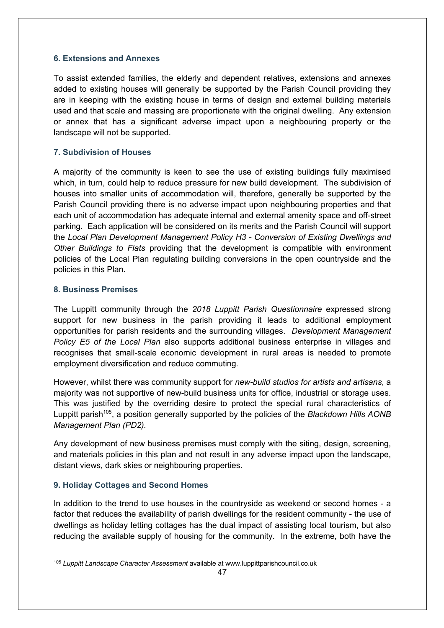#### **6. Extensions and Annexes**

To assist extended families, the elderly and dependent relatives, extensions and annexes added to existing houses will generally be supported by the Parish Council providing they are in keeping with the existing house in terms of design and external building materials used and that scale and massing are proportionate with the original dwelling. Any extension or annex that has a significant adverse impact upon a neighbouring property or the landscape will not be supported.

#### **7. Subdivision of Houses**

A majority of the community is keen to see the use of existing buildings fully maximised which, in turn, could help to reduce pressure for new build development. The subdivision of houses into smaller units of accommodation will, therefore, generally be supported by the Parish Council providing there is no adverse impact upon neighbouring properties and that each unit of accommodation has adequate internal and external amenity space and off-street parking. Each application will be considered on its merits and the Parish Council will support the *Local Plan Development Management Policy H3 - Conversion of Existing Dwellings and Other Buildings to Flats* providing that the development is compatible with environment policies of the Local Plan regulating building conversions in the open countryside and the policies in this Plan.

#### **8. Business Premises**

The Luppitt community through the *2018 Luppitt Parish Questionnaire* expressed strong support for new business in the parish providing it leads to additional employment opportunities for parish residents and the surrounding villages. *Development Management Policy E5 of the Local Plan* also supports additional business enterprise in villages and recognises that small-scale economic development in rural areas is needed to promote employment diversification and reduce commuting.

However, whilst there was community support for *new-build studios for artists and artisans*, a majority was not supportive of new-build business units for office, industrial or storage uses. This was justified by the overriding desire to protect the special rural characteristics of Luppitt parish105, a position generally supported by the policies of the *Blackdown Hills AONB Management Plan (PD2).*

Any development of new business premises must comply with the siting, design, screening, and materials policies in this plan and not result in any adverse impact upon the landscape, distant views, dark skies or neighbouring properties.

#### **9. Holiday Cottages and Second Homes**

In addition to the trend to use houses in the countryside as weekend or second homes - a factor that reduces the availability of parish dwellings for the resident community - the use of dwellings as holiday letting cottages has the dual impact of assisting local tourism, but also reducing the available supply of housing for the community. In the extreme, both have the

<sup>105</sup> *Luppitt Landscape Character Assessment* available at www.luppittparishcouncil.co.uk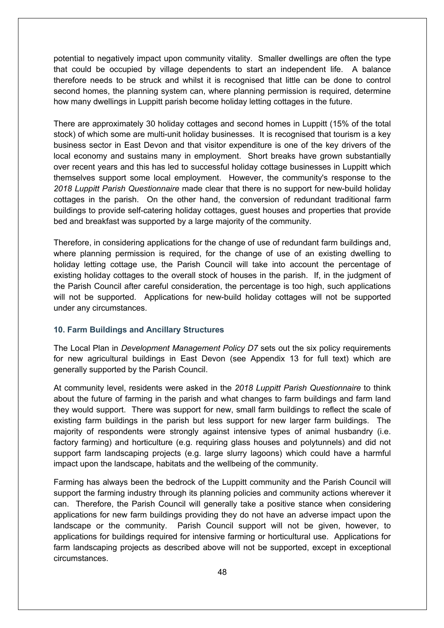potential to negatively impact upon community vitality. Smaller dwellings are often the type that could be occupied by village dependents to start an independent life. A balance therefore needs to be struck and whilst it is recognised that little can be done to control second homes, the planning system can, where planning permission is required, determine how many dwellings in Luppitt parish become holiday letting cottages in the future.

There are approximately 30 holiday cottages and second homes in Luppitt (15% of the total stock) of which some are multi-unit holiday businesses. It is recognised that tourism is a key business sector in East Devon and that visitor expenditure is one of the key drivers of the local economy and sustains many in employment. Short breaks have grown substantially over recent years and this has led to successful holiday cottage businesses in Luppitt which themselves support some local employment. However, the community's response to the *2018 Luppitt Parish Questionnaire* made clear that there is no support for new-build holiday cottages in the parish. On the other hand, the conversion of redundant traditional farm buildings to provide self-catering holiday cottages, guest houses and properties that provide bed and breakfast was supported by a large majority of the community.

Therefore, in considering applications for the change of use of redundant farm buildings and, where planning permission is required, for the change of use of an existing dwelling to holiday letting cottage use, the Parish Council will take into account the percentage of existing holiday cottages to the overall stock of houses in the parish. If, in the judgment of the Parish Council after careful consideration, the percentage is too high, such applications will not be supported. Applications for new-build holiday cottages will not be supported under any circumstances.

#### **10. Farm Buildings and Ancillary Structures**

The Local Plan in *Development Management Policy D7* sets out the six policy requirements for new agricultural buildings in East Devon (see Appendix 13 for full text) which are generally supported by the Parish Council.

At community level, residents were asked in the *2018 Luppitt Parish Questionnaire* to think about the future of farming in the parish and what changes to farm buildings and farm land they would support. There was support for new, small farm buildings to reflect the scale of existing farm buildings in the parish but less support for new larger farm buildings. The majority of respondents were strongly against intensive types of animal husbandry (i.e. factory farming) and horticulture (e.g. requiring glass houses and polytunnels) and did not support farm landscaping projects (e.g. large slurry lagoons) which could have a harmful impact upon the landscape, habitats and the wellbeing of the community.

Farming has always been the bedrock of the Luppitt community and the Parish Council will support the farming industry through its planning policies and community actions wherever it can. Therefore, the Parish Council will generally take a positive stance when considering applications for new farm buildings providing they do not have an adverse impact upon the landscape or the community. Parish Council support will not be given, however, to applications for buildings required for intensive farming or horticultural use. Applications for farm landscaping projects as described above will not be supported, except in exceptional circumstances.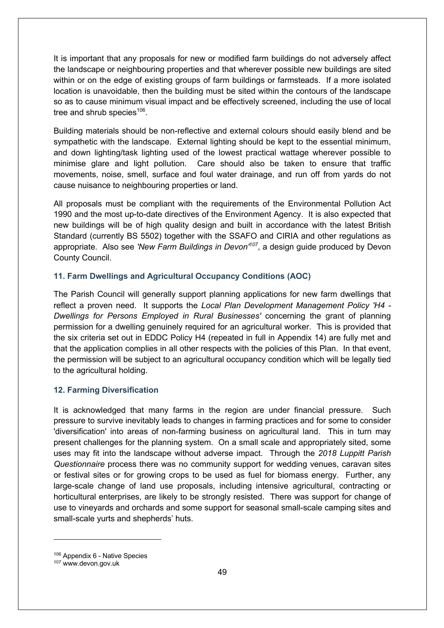It is important that any proposals for new or modified farm buildings do not adversely affect the landscape or neighbouring properties and that wherever possible new buildings are sited within or on the edge of existing groups of farm buildings or farmsteads. If a more isolated location is unavoidable, then the building must be sited within the contours of the landscape so as to cause minimum visual impact and be effectively screened, including the use of local tree and shrub species<sup>106</sup>.

Building materials should be non-reflective and external colours should easily blend and be sympathetic with the landscape. External lighting should be kept to the essential minimum, and down lighting/task lighting used of the lowest practical wattage wherever possible to minimise glare and light pollution. Care should also be taken to ensure that traffic movements, noise, smell, surface and foul water drainage, and run off from yards do not cause nuisance to neighbouring properties or land.

All proposals must be compliant with the requirements of the Environmental Pollution Act 1990 and the most up-to-date directives of the Environment Agency. It is also expected that new buildings will be of high quality design and built in accordance with the latest British Standard (currently BS 5502) together with the SSAFO and CIRIA and other regulations as appropriate. Also see *'New Farm Buildings in Devon'107*, a design guide produced by Devon County Council.

#### **11. Farm Dwellings and Agricultural Occupancy Conditions (AOC)**

The Parish Council will generally support planning applications for new farm dwellings that reflect a proven need. It supports the *Local Plan Development Management Policy 'H4 - Dwellings for Persons Employed in Rural Businesses'* concerning the grant of planning permission for a dwelling genuinely required for an agricultural worker. This is provided that the six criteria set out in EDDC Policy H4 (repeated in full in Appendix 14) are fully met and that the application complies in all other respects with the policies of this Plan. In that event, the permission will be subject to an agricultural occupancy condition which will be legally tied to the agricultural holding.

#### **12. Farming Diversification**

It is acknowledged that many farms in the region are under financial pressure. Such pressure to survive inevitably leads to changes in farming practices and for some to consider 'diversification' into areas of non-farming business on agricultural land. This in turn may present challenges for the planning system. On a small scale and appropriately sited, some uses may fit into the landscape without adverse impact. Through the *2018 Luppitt Parish Questionnaire* process there was no community support for wedding venues, caravan sites or festival sites or for growing crops to be used as fuel for biomass energy. Further, any large-scale change of land use proposals, including intensive agricultural, contracting or horticultural enterprises, are likely to be strongly resisted. There was support for change of use to vineyards and orchards and some support for seasonal small-scale camping sites and small-scale yurts and shepherds' huts.

 $106$  Appendix 6 - Native Species  $107$  www.devon.gov.uk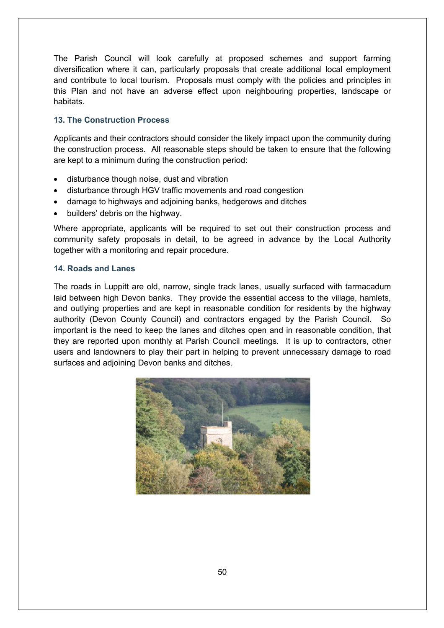The Parish Council will look carefully at proposed schemes and support farming diversification where it can, particularly proposals that create additional local employment and contribute to local tourism. Proposals must comply with the policies and principles in this Plan and not have an adverse effect upon neighbouring properties, landscape or habitats.

#### **13. The Construction Process**

Applicants and their contractors should consider the likely impact upon the community during the construction process. All reasonable steps should be taken to ensure that the following are kept to a minimum during the construction period:

- disturbance though noise, dust and vibration
- disturbance through HGV traffic movements and road congestion
- damage to highways and adjoining banks, hedgerows and ditches
- builders' debris on the highway.

Where appropriate, applicants will be required to set out their construction process and community safety proposals in detail, to be agreed in advance by the Local Authority together with a monitoring and repair procedure.

#### **14. Roads and Lanes**

The roads in Luppitt are old, narrow, single track lanes, usually surfaced with tarmacadum laid between high Devon banks. They provide the essential access to the village, hamlets, and outlying properties and are kept in reasonable condition for residents by the highway authority (Devon County Council) and contractors engaged by the Parish Council. So important is the need to keep the lanes and ditches open and in reasonable condition, that they are reported upon monthly at Parish Council meetings. It is up to contractors, other users and landowners to play their part in helping to prevent unnecessary damage to road surfaces and adjoining Devon banks and ditches.

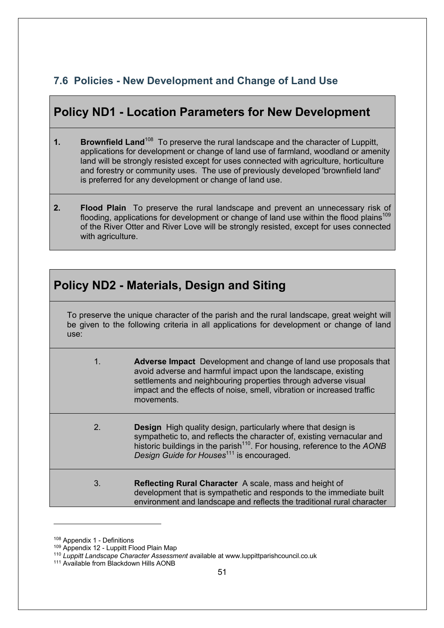## **7.6 Policies - New Development and Change of Land Use**

## **Policy ND1 - Location Parameters for New Development**

- **1. Brownfield Land**<sup>108</sup> To preserve the rural landscape and the character of Luppitt, applications for development or change of land use of farmland, woodland or amenity land will be strongly resisted except for uses connected with agriculture, horticulture and forestry or community uses. The use of previously developed 'brownfield land' is preferred for any development or change of land use.
- **2. Flood Plain** To preserve the rural landscape and prevent an unnecessary risk of flooding, applications for development or change of land use within the flood plains<sup>109</sup> of the River Otter and River Love will be strongly resisted, except for uses connected with agriculture.

## **Policy ND2 - Materials, Design and Siting**

To preserve the unique character of the parish and the rural landscape, great weight will be given to the following criteria in all applications for development or change of land use:

- 1. **Adverse Impact** Development and change of land use proposals that avoid adverse and harmful impact upon the landscape, existing settlements and neighbouring properties through adverse visual impact and the effects of noise, smell, vibration or increased traffic movements.
- 2. **Design** High quality design, particularly where that design is sympathetic to, and reflects the character of, existing vernacular and historic buildings in the parish<sup>110</sup>. For housing, reference to the *AONB Design Guide for Houses*<sup>111</sup> is encouraged.
- 3. **Reflecting Rural Character** A scale, mass and height of development that is sympathetic and responds to the immediate built environment and landscape and reflects the traditional rural character

<sup>&</sup>lt;sup>108</sup> Appendix 1 - Definitions

<sup>&</sup>lt;sup>109</sup> Appendix 12 - Luppitt Flood Plain Map

<sup>110</sup> *Luppitt Landscape Character Assessment* available at www.luppittparishcouncil.co.uk

<sup>&</sup>lt;sup>111</sup> Available from Blackdown Hills AONB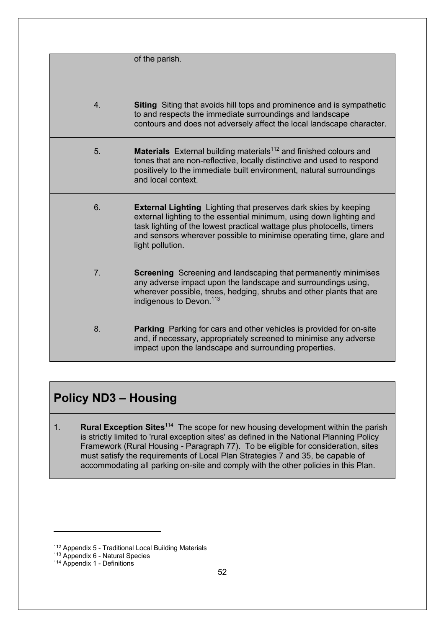|                | of the parish.                                                                                                                                                                                                                                                                                                    |
|----------------|-------------------------------------------------------------------------------------------------------------------------------------------------------------------------------------------------------------------------------------------------------------------------------------------------------------------|
| 4.             | <b>Siting</b> Siting that avoids hill tops and prominence and is sympathetic<br>to and respects the immediate surroundings and landscape<br>contours and does not adversely affect the local landscape character.                                                                                                 |
| 5.             | <b>Materials</b> External building materials <sup>112</sup> and finished colours and<br>tones that are non-reflective, locally distinctive and used to respond<br>positively to the immediate built environment, natural surroundings<br>and local context.                                                       |
| 6.             | <b>External Lighting</b> Lighting that preserves dark skies by keeping<br>external lighting to the essential minimum, using down lighting and<br>task lighting of the lowest practical wattage plus photocells, timers<br>and sensors wherever possible to minimise operating time, glare and<br>light pollution. |
| 7 <sub>1</sub> | <b>Screening</b> Screening and landscaping that permanently minimises<br>any adverse impact upon the landscape and surroundings using,<br>wherever possible, trees, hedging, shrubs and other plants that are<br>indigenous to Devon. <sup>113</sup>                                                              |
| 8.             | <b>Parking</b> Parking for cars and other vehicles is provided for on-site<br>and, if necessary, appropriately screened to minimise any adverse<br>impact upon the landscape and surrounding properties.                                                                                                          |

## **Policy ND3 – Housing**

1. **Rural Exception Sites**114 The scope for new housing development within the parish is strictly limited to 'rural exception sites' as defined in the National Planning Policy Framework (Rural Housing - Paragraph 77). To be eligible for consideration, sites must satisfy the requirements of Local Plan Strategies 7 and 35, be capable of accommodating all parking on-site and comply with the other policies in this Plan.

<sup>112</sup> Appendix 5 - Traditional Local Building Materials

<sup>113</sup> Appendix 6 - Natural Species

<sup>114</sup> Appendix 1 - Definitions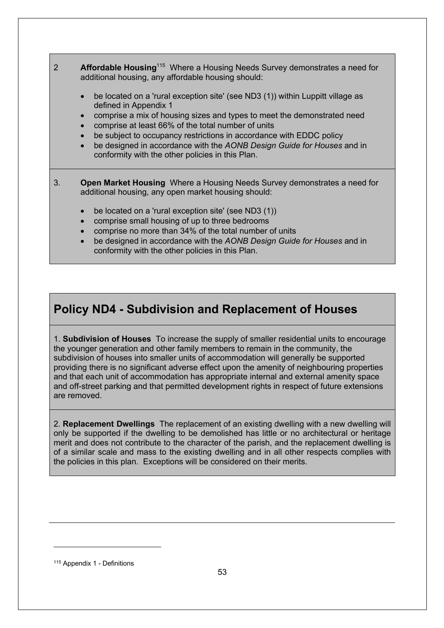- 2 **Affordable Housing**<sup>115</sup> Where a Housing Needs Survey demonstrates a need for additional housing, any affordable housing should:
	- be located on a 'rural exception site' (see ND3 (1)) within Luppitt village as defined in Appendix 1
	- comprise a mix of housing sizes and types to meet the demonstrated need
	- comprise at least 66% of the total number of units
	- be subject to occupancy restrictions in accordance with EDDC policy
	- be designed in accordance with the *AONB Design Guide for Houses* and in conformity with the other policies in this Plan.
- 3. **Open Market Housing** Where a Housing Needs Survey demonstrates a need for additional housing, any open market housing should:
	- be located on a 'rural exception site' (see ND3 (1))
	- comprise small housing of up to three bedrooms
	- comprise no more than 34% of the total number of units
	- be designed in accordance with the *AONB Design Guide for Houses* and in conformity with the other policies in this Plan.

## **Policy ND4 - Subdivision and Replacement of Houses**

1. **Subdivision of Houses** To increase the supply of smaller residential units to encourage the younger generation and other family members to remain in the community, the subdivision of houses into smaller units of accommodation will generally be supported providing there is no significant adverse effect upon the amenity of neighbouring properties and that each unit of accommodation has appropriate internal and external amenity space and off-street parking and that permitted development rights in respect of future extensions are removed.

2. **Replacement Dwellings** The replacement of an existing dwelling with a new dwelling will only be supported if the dwelling to be demolished has little or no architectural or heritage merit and does not contribute to the character of the parish, and the replacement dwelling is of a similar scale and mass to the existing dwelling and in all other respects complies with the policies in this plan. Exceptions will be considered on their merits.

<sup>115</sup> Appendix 1 - Definitions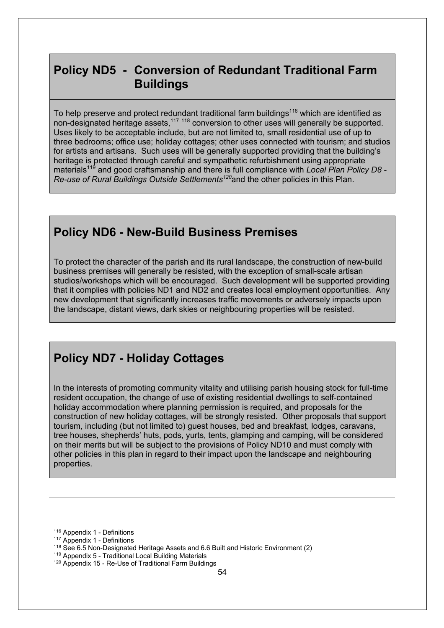## **Policy ND5 - Conversion of Redundant Traditional Farm Buildings**

To help preserve and protect redundant traditional farm buildings<sup>116</sup> which are identified as non-designated heritage assets,<sup>117 118</sup> conversion to other uses will generally be supported. Uses likely to be acceptable include, but are not limited to, small residential use of up to three bedrooms; office use; holiday cottages; other uses connected with tourism; and studios for artists and artisans. Such uses will be generally supported providing that the building's heritage is protected through careful and sympathetic refurbishment using appropriate materials<sup>119</sup> and good craftsmanship and there is full compliance with *Local Plan Policy D8 -Re-use of Rural Buildings Outside Settlements120*and the other policies in this Plan.

## **Policy ND6 - New-Build Business Premises**

To protect the character of the parish and its rural landscape, the construction of new-build business premises will generally be resisted, with the exception of small-scale artisan studios/workshops which will be encouraged. Such development will be supported providing that it complies with policies ND1 and ND2 and creates local employment opportunities. Any new development that significantly increases traffic movements or adversely impacts upon the landscape, distant views, dark skies or neighbouring properties will be resisted.

## **Policy ND7 - Holiday Cottages**

In the interests of promoting community vitality and utilising parish housing stock for full-time resident occupation, the change of use of existing residential dwellings to self-contained holiday accommodation where planning permission is required, and proposals for the construction of new holiday cottages, will be strongly resisted. Other proposals that support tourism, including (but not limited to) guest houses, bed and breakfast, lodges, caravans, tree houses, shepherds' huts, pods, yurts, tents, glamping and camping, will be considered on their merits but will be subject to the provisions of Policy ND10 and must comply with other policies in this plan in regard to their impact upon the landscape and neighbouring properties.

<sup>116</sup> Appendix 1 - Definitions

<sup>117</sup> Appendix 1 - Definitions

<sup>118</sup> See 6.5 Non-Designated Heritage Assets and 6.6 Built and Historic Environment (2)

<sup>119</sup> Appendix 5 - Traditional Local Building Materials

<sup>&</sup>lt;sup>120</sup> Appendix 15 - Re-Use of Traditional Farm Buildings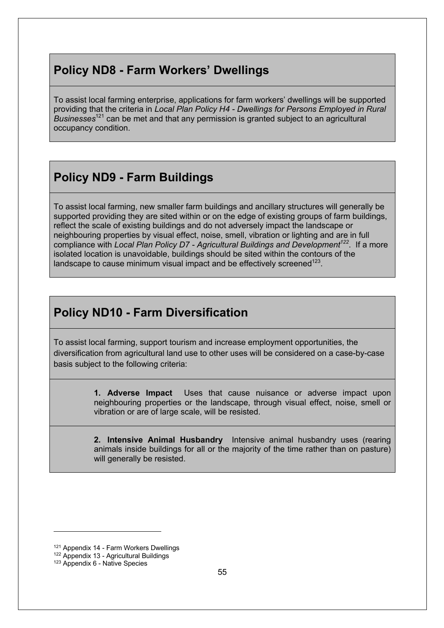## **Policy ND8 - Farm Workers' Dwellings**

To assist local farming enterprise, applications for farm workers' dwellings will be supported providing that the criteria in *Local Plan Policy H4 - Dwellings for Persons Employed in Rural Businesses*<sup>121</sup> can be met and that any permission is granted subject to an agricultural occupancy condition.

## **Policy ND9 - Farm Buildings**

To assist local farming, new smaller farm buildings and ancillary structures will generally be supported providing they are sited within or on the edge of existing groups of farm buildings, reflect the scale of existing buildings and do not adversely impact the landscape or neighbouring properties by visual effect, noise, smell, vibration or lighting and are in full compliance with *Local Plan Policy D7 - Agricultural Buildings and Development122*. If a more isolated location is unavoidable, buildings should be sited within the contours of the landscape to cause minimum visual impact and be effectively screened<sup>123</sup>.

## **Policy ND10 - Farm Diversification**

To assist local farming, support tourism and increase employment opportunities, the diversification from agricultural land use to other uses will be considered on a case-by-case basis subject to the following criteria:

> **1. Adverse Impact** Uses that cause nuisance or adverse impact upon neighbouring properties or the landscape, through visual effect, noise, smell or vibration or are of large scale, will be resisted.

> **2. Intensive Animal Husbandry** Intensive animal husbandry uses (rearing animals inside buildings for all or the majority of the time rather than on pasture) will generally be resisted.

<sup>121</sup> Appendix 14 - Farm Workers Dwellings

<sup>122</sup> Appendix 13 - Agricultural Buildings

<sup>123</sup> Appendix 6 - Native Species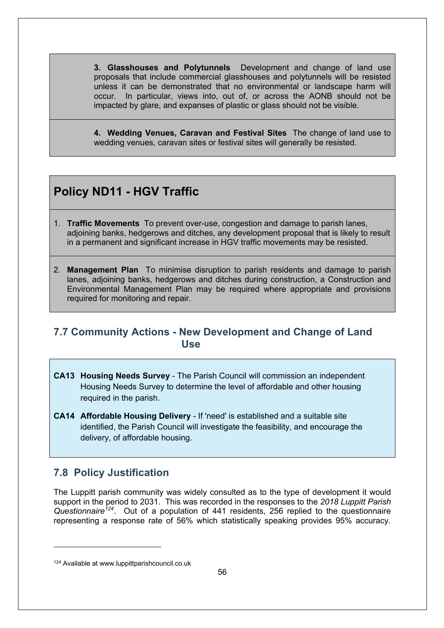**3. Glasshouses and Polytunnels** Development and change of land use proposals that include commercial glasshouses and polytunnels will be resisted unless it can be demonstrated that no environmental or landscape harm will occur. In particular, views into, out of, or across the AONB should not be impacted by glare, and expanses of plastic or glass should not be visible.

**4. Wedding Venues, Caravan and Festival Sites** The change of land use to wedding venues, caravan sites or festival sites will generally be resisted.

## **Policy ND11 - HGV Traffic**

- 1. **Traffic Movements** To prevent over-use, congestion and damage to parish lanes, adjoining banks, hedgerows and ditches, any development proposal that is likely to result in a permanent and significant increase in HGV traffic movements may be resisted.
- 2. **Management Plan** To minimise disruption to parish residents and damage to parish lanes, adjoining banks, hedgerows and ditches during construction, a Construction and Environmental Management Plan may be required where appropriate and provisions required for monitoring and repair.

#### **7.7 Community Actions - New Development and Change of Land Use**

- **CA13 Housing Needs Survey** The Parish Council will commission an independent Housing Needs Survey to determine the level of affordable and other housing required in the parish.
- **CA14 Affordable Housing Delivery** If 'need' is established and a suitable site identified, the Parish Council will investigate the feasibility, and encourage the delivery, of affordable housing.

## **7.8 Policy Justification**

The Luppitt parish community was widely consulted as to the type of development it would support in the period to 2031. This was recorded in the responses to the *2018 Luppitt Parish Questionnaire<sup>124</sup>*. Out of a population of 441 residents, 256 replied to the questionnaire representing a response rate of 56% which statistically speaking provides 95% accuracy.

<sup>124</sup> Available at www.luppittparishcouncil.co.uk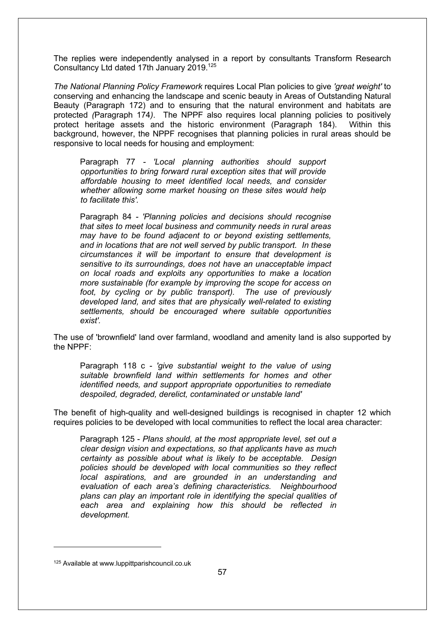The replies were independently analysed in a report by consultants Transform Research Consultancy Ltd dated 17th January 2019. 125

*The National Planning Policy Framework* requires Local Plan policies to give *'great weight'* to conserving and enhancing the landscape and scenic beauty in Areas of Outstanding Natural Beauty (Paragraph 172) and to ensuring that the natural environment and habitats are protected *(*Paragraph 174*)*. The NPPF also requires local planning policies to positively protect heritage assets and the historic environment (Paragraph 184). Within this background, however, the NPPF recognises that planning policies in rural areas should be responsive to local needs for housing and employment:

Paragraph 77 *- 'Local planning authorities should support opportunities to bring forward rural exception sites that will provide affordable housing to meet identified local needs, and consider whether allowing some market housing on these sites would help to facilitate this'.* 

Paragraph 84 *- 'Planning policies and decisions should recognise that sites to meet local business and community needs in rural areas may have to be found adjacent to or beyond existing settlements, and in locations that are not well served by public transport. In these circumstances it will be important to ensure that development is sensitive to its surroundings, does not have an unacceptable impact on local roads and exploits any opportunities to make a location more sustainable (for example by improving the scope for access on foot, by cycling or by public transport). The use of previously developed land, and sites that are physically well-related to existing settlements, should be encouraged where suitable opportunities exist'.*

The use of 'brownfield' land over farmland, woodland and amenity land is also supported by the NPPF:

Paragraph 118 c *- 'give substantial weight to the value of using suitable brownfield land within settlements for homes and other identified needs, and support appropriate opportunities to remediate despoiled, degraded, derelict, contaminated or unstable land'* 

The benefit of high-quality and well-designed buildings is recognised in chapter 12 which requires policies to be developed with local communities to reflect the local area character:

Paragraph 125 - *Plans should, at the most appropriate level, set out a clear design vision and expectations, so that applicants have as much certainty as possible about what is likely to be acceptable. Design policies should be developed with local communities so they reflect local aspirations, and are grounded in an understanding and evaluation of each area's defining characteristics. Neighbourhood plans can play an important role in identifying the special qualities of each area and explaining how this should be reflected in development.*

<sup>125</sup> Available at www.luppittparishcouncil.co.uk